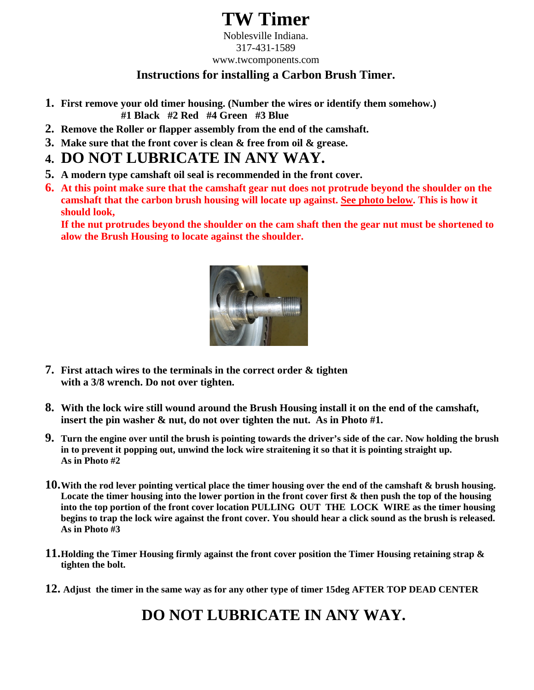## **TW Timer**

Noblesville Indiana. 317-431-1589 www.twcomponents.com

#### **Instructions for installing a Carbon Brush Timer.**

- **1. First remove your old timer housing. (Number the wires or identify them somehow.) #1 Black #2 Red #4 Green #3 Blue**
- **2. Remove the Roller or flapper assembly from the end of the camshaft.**
- **3. Make sure that the front cover is clean & free from oil & grease.**

### **4. DO NOT LUBRICATE IN ANY WAY.**

- **5. A modern type camshaft oil seal is recommended in the front cover.**
- **6. At this point make sure that the camshaft gear nut does not protrude beyond the shoulder on the camshaft that the carbon brush housing will locate up against. See photo below. This is how it should look,**

**If the nut protrudes beyond the shoulder on the cam shaft then the gear nut must be shortened to alow the Brush Housing to locate against the shoulder.**



- **7. First attach wires to the terminals in the correct order & tighten with a 3/8 wrench. Do not over tighten.**
- **8. With the lock wire still wound around the Brush Housing install it on the end of the camshaft, insert the pin washer & nut, do not over tighten the nut. As in Photo #1.**
- **9. Turn the engine over until the brush is pointing towards the driver's side of the car. Now holding the brush in to prevent it popping out, unwind the lock wire straitening it so that it is pointing straight up. As in Photo #2**
- **10.With the rod lever pointing vertical place the timer housing over the end of the camshaft & brush housing. Locate the timer housing into the lower portion in the front cover first & then push the top of the housing into the top portion of the front cover location PULLING OUT THE LOCK WIRE as the timer housing begins to trap the lock wire against the front cover. You should hear a click sound as the brush is released. As in Photo #3**
- **11.Holding the Timer Housing firmly against the front cover position the Timer Housing retaining strap & tighten the bolt.**
- **12. Adjust the timer in the same way as for any other type of timer 15deg AFTER TOP DEAD CENTER**

## **DO NOT LUBRICATE IN ANY WAY.**